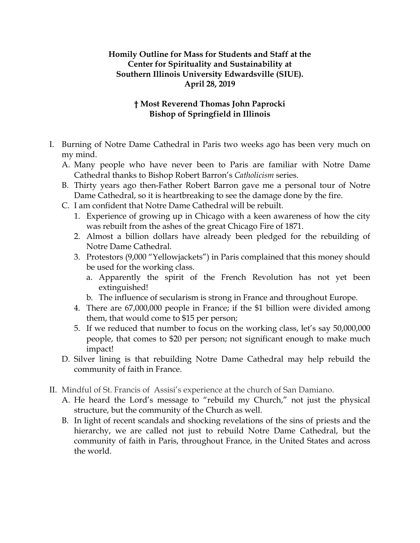## **Homily Outline for Mass for Students and Staff at the Center for Spirituality and Sustainability at Southern Illinois University Edwardsville (SIUE). April 28, 2019**

## **† Most Reverend Thomas John Paprocki Bishop of Springfield in Illinois**

- I. Burning of Notre Dame Cathedral in Paris two weeks ago has been very much on my mind.
	- A. Many people who have never been to Paris are familiar with Notre Dame Cathedral thanks to Bishop Robert Barron's *Catholicism* series.
	- B. Thirty years ago then-Father Robert Barron gave me a personal tour of Notre Dame Cathedral, so it is heartbreaking to see the damage done by the fire.
	- C. I am confident that Notre Dame Cathedral will be rebuilt.
		- 1. Experience of growing up in Chicago with a keen awareness of how the city was rebuilt from the ashes of the great Chicago Fire of 1871.
		- 2. Almost a billion dollars have already been pledged for the rebuilding of Notre Dame Cathedral.
		- 3. Protestors (9,000 "Yellowjackets") in Paris complained that this money should be used for the working class.
			- a. Apparently the spirit of the French Revolution has not yet been extinguished!
			- b. The influence of secularism is strong in France and throughout Europe.
		- 4. There are 67,000,000 people in France; if the \$1 billion were divided among them, that would come to \$15 per person;
		- 5. If we reduced that number to focus on the working class, let's say 50,000,000 people, that comes to \$20 per person; not significant enough to make much impact!
	- D. Silver lining is that rebuilding Notre Dame Cathedral may help rebuild the community of faith in France.
- II. Mindful of St. Francis of Assisi's experience at the church of San Damiano.
	- A. He heard the Lord's message to "rebuild my Church," not just the physical structure, but the community of the Church as well.
	- B. In light of recent scandals and shocking revelations of the sins of priests and the hierarchy, we are called not just to rebuild Notre Dame Cathedral, but the community of faith in Paris, throughout France, in the United States and across the world.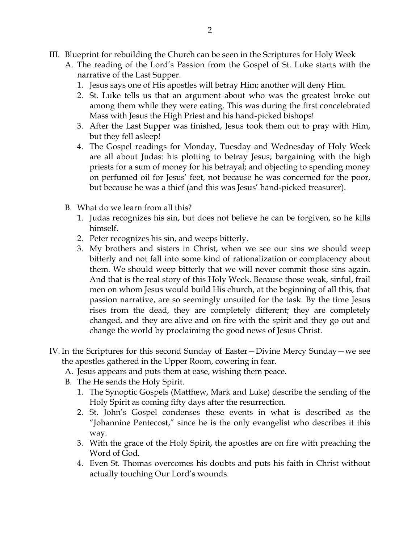- III. Blueprint for rebuilding the Church can be seen in the Scriptures for Holy Week
	- A. The reading of the Lord's Passion from the Gospel of St. Luke starts with the narrative of the Last Supper.
		- 1. Jesus says one of His apostles will betray Him; another will deny Him.
		- 2. St. Luke tells us that an argument about who was the greatest broke out among them while they were eating. This was during the first concelebrated Mass with Jesus the High Priest and his hand-picked bishops!
		- 3. After the Last Supper was finished, Jesus took them out to pray with Him, but they fell asleep!
		- 4. The Gospel readings for Monday, Tuesday and Wednesday of Holy Week are all about Judas: his plotting to betray Jesus; bargaining with the high priests for a sum of money for his betrayal; and objecting to spending money on perfumed oil for Jesus' feet, not because he was concerned for the poor, but because he was a thief (and this was Jesus' hand-picked treasurer).
	- B. What do we learn from all this?
		- 1. Judas recognizes his sin, but does not believe he can be forgiven, so he kills himself.
		- 2. Peter recognizes his sin, and weeps bitterly.
		- 3. My brothers and sisters in Christ, when we see our sins we should weep bitterly and not fall into some kind of rationalization or complacency about them. We should weep bitterly that we will never commit those sins again. And that is the real story of this Holy Week. Because those weak, sinful, frail men on whom Jesus would build His church, at the beginning of all this, that passion narrative, are so seemingly unsuited for the task. By the time Jesus rises from the dead, they are completely different; they are completely changed, and they are alive and on fire with the spirit and they go out and change the world by proclaiming the good news of Jesus Christ.
- IV. In the Scriptures for this second Sunday of Easter—Divine Mercy Sunday—we see the apostles gathered in the Upper Room, cowering in fear.
	- A. Jesus appears and puts them at ease, wishing them peace.
	- B. The He sends the Holy Spirit.
		- 1. The Synoptic Gospels (Matthew, Mark and Luke) describe the sending of the Holy Spirit as coming fifty days after the resurrection.
		- 2. St. John's Gospel condenses these events in what is described as the "Johannine Pentecost," since he is the only evangelist who describes it this way.
		- 3. With the grace of the Holy Spirit, the apostles are on fire with preaching the Word of God.
		- 4. Even St. Thomas overcomes his doubts and puts his faith in Christ without actually touching Our Lord's wounds.